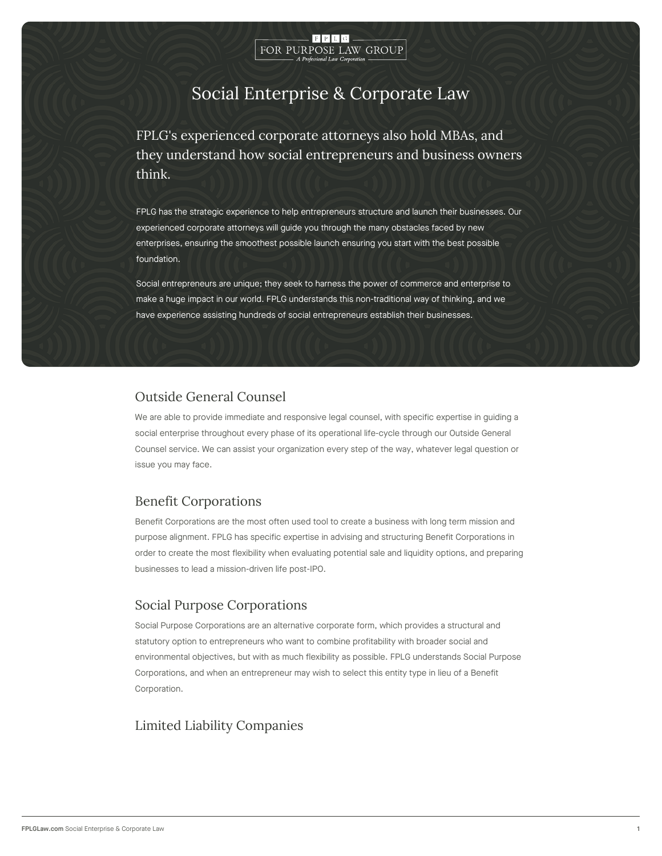

# Social Enterprise & Corporate Law

FPLG's experienced corporate attorneys also hold MBA they understand how social entrepreneurs and busines think.

FPLG has the strategic experience to help entrepreneurs structure and launch the experienced corporate attorneys will guide you through the many obstacles faced enterprises, ensuring the smoothest possible launch ensuring you start with the b foundation.

Social entrepreneurs are unique; they seek to harness the power of commerce and make a huge impact in our world. FPLG understands this non-traditional way of th have experience assisting hundreds of social entrepreneurs establish their busine

### Outside General Counsel

We are able to provide immediate and responsive legal counsel, with specific experti social enterprise throughout every phase of its operational life-cycle through our Ou Counsel service. We can assist your organization every step of the way, whatever leg issue you may face.

# Benefit Corporations

Benefit Corporations are the most often used tool to create a business with long tern purpose alignment. FPLG has specific expertise in advising and structuring Benefit C order to create the most flexibility when evaluating potential sale and liquidity optio businesses to lead a mission-driven life post-IPO.

# Social Purpose Corporations

Social Purpose Corporations are an alternative corporate form, which provides a stru statutory option to entrepreneurs who want to combine profitability with broader soci environmental objectives, but with as much flexibility as possible. FPLG understands Corporations, and when an entrepreneur may wish to select this entity type in lieu of Corporation.

# Limited Liability Companies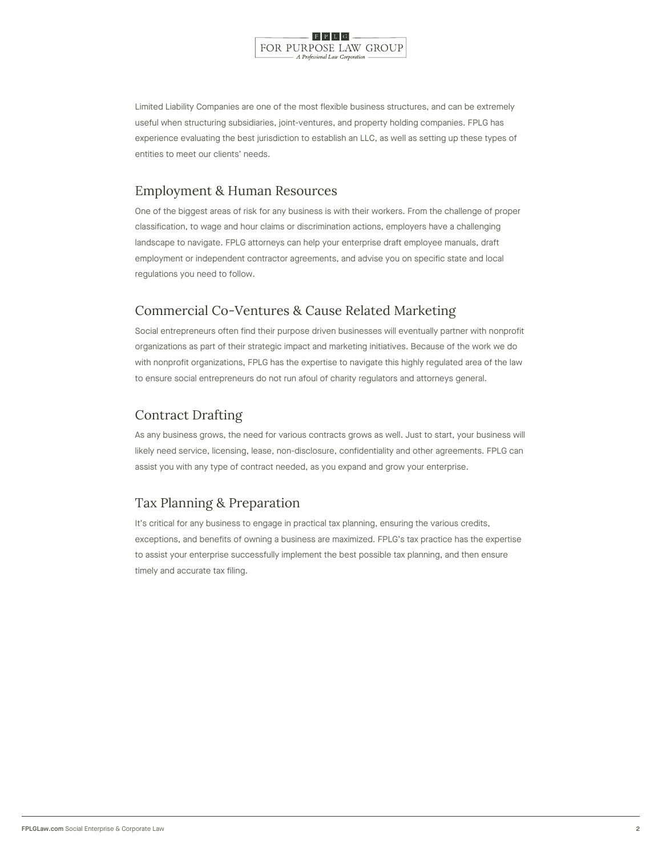

Limited Liability Companies are one of the most flexible business structures, and car useful when structuring subsidiaries, joint-ventures, and property holding companies experience evaluating the best jurisdiction to establish an LLC, as well as setting up entities to meet our clients needs.

# Employment & Human Resources

One of the biggest areas of risk for any business is with their workers. From the cha classification, to wage and hour claims or discrimination actions, employers have a c landscape to navigate. FPLG attorneys can help your enterprise draft employee manu employment or independent contractor agreements, and advise you on specific state regulations you need to follow.

# Commercial Co-Ventures & Cause Related Marketing

Social entrepreneurs often find their purpose driven businesses will eventually partn organizations as part of their strategic impact and marketing initiatives. Because of with nonprofit organizations, FPLG has the expertise to navigate this highly regulate to ensure social entrepreneurs do not run afoul of charity regulators and attorneys g

# Contract Drafting

As any business grows, the need for various contracts grows as well. Just to start, y likely need service, licensing, lease, non-disclosure, confidentiality and other agree assist you with any type of contract needed, as you expand and grow your enterprise.

# Tax Planning & Preparation

It s critical for any business to engage in practical tax planning, ensuring the variou exceptions, and benefits of owning a business are maximized. FPLG s tax practice has to assist your enterprise successfully implement the best possible tax planning, and timely and accurate tax filing.